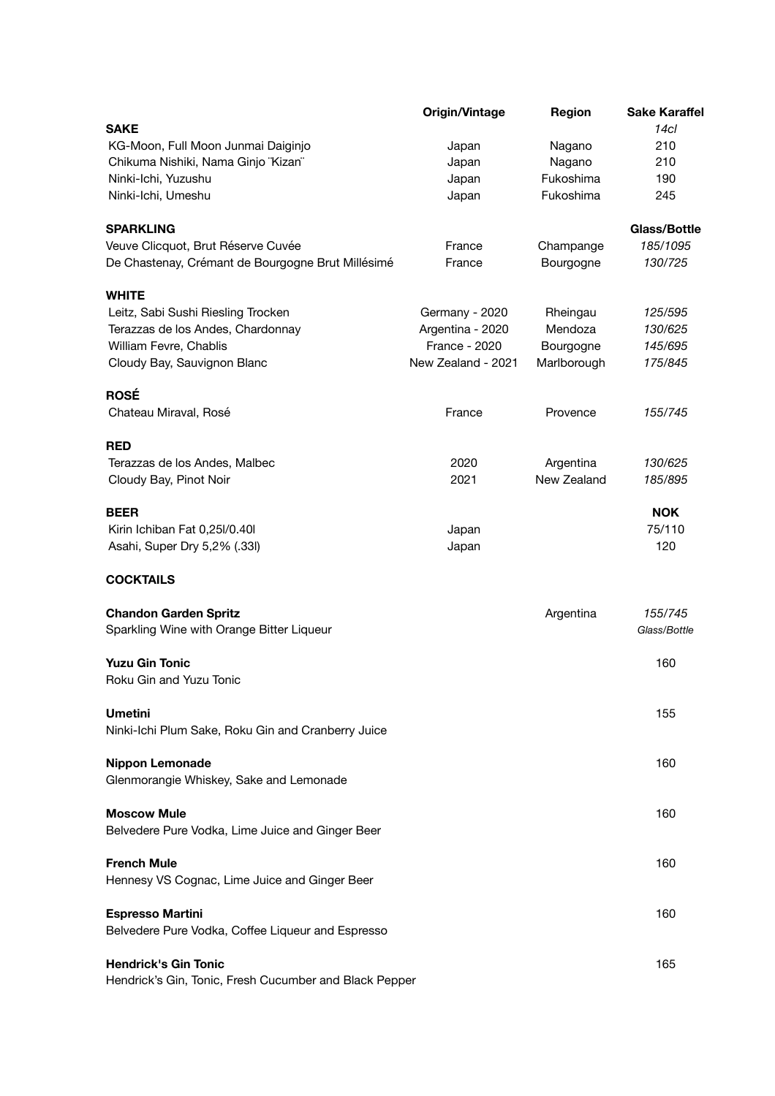|                                                    | <b>Origin/Vintage</b> | <b>Region</b>    | <b>Sake Karaffel</b> |
|----------------------------------------------------|-----------------------|------------------|----------------------|
| <b>SAKE</b>                                        |                       |                  | 14 <sub>cl</sub>     |
| KG-Moon, Full Moon Junmai Daiginjo                 | Japan                 | Nagano           | 210                  |
| Chikuma Nishiki, Nama Ginjo "Kizan"                | Japan                 | Nagano           | 210                  |
| Ninki-Ichi, Yuzushu                                | Japan                 | Fukoshima        | 190                  |
| Ninki-Ichi, Umeshu                                 | Japan                 | Fukoshima        | 245                  |
| <b>SPARKLING</b>                                   |                       |                  | <b>Glass/Bottle</b>  |
| Veuve Clicquot, Brut Réserve Cuvée                 | France                | Champange        | 185/1095             |
| De Chastenay, Crémant de Bourgogne Brut Millésimé  | France                | <b>Bourgogne</b> | 130/725              |
| <b>WHITE</b>                                       |                       |                  |                      |
| Leitz, Sabi Sushi Riesling Trocken                 | Germany - 2020        | Rheingau         | 125/595              |
| Terazzas de los Andes, Chardonnay                  | Argentina - 2020      | Mendoza          | 130/625              |
| <b>William Fevre, Chablis</b>                      | <b>France - 2020</b>  | Bourgogne        | 145/695              |
| Cloudy Bay, Sauvignon Blanc                        | New Zealand - 2021    | Marlborough      | 175/845              |
| <b>ROSÉ</b>                                        |                       |                  |                      |
| Chateau Miraval, Rosé                              | France                | Provence         | 155/745              |
| <b>RED</b>                                         |                       |                  |                      |
| Terazzas de los Andes, Malbec                      | 2020                  | Argentina        | 130/625              |
| Cloudy Bay, Pinot Noir                             | 2021                  | New Zealand      | 185/895              |
| <b>BEER</b>                                        |                       |                  | <b>NOK</b>           |
| Kirin Ichiban Fat 0,251/0.401                      | Japan                 |                  | 75/110               |
| Asahi, Super Dry 5,2% (.33I)                       | Japan                 |                  | 120                  |
| <b>COCKTAILS</b>                                   |                       |                  |                      |
| <b>Chandon Garden Spritz</b>                       |                       | Argentina        | 155/745              |
| Sparkling Wine with Orange Bitter Liqueur          |                       |                  | Glass/Bottle         |
| <b>Yuzu Gin Tonic</b>                              |                       |                  | 160                  |
| Roku Gin and Yuzu Tonic                            |                       |                  |                      |
| <b>Umetini</b>                                     |                       |                  | 155                  |
| Ninki-Ichi Plum Sake, Roku Gin and Cranberry Juice |                       |                  |                      |
|                                                    |                       |                  |                      |

## **Moscow Mule** 160 Belvedere Pure Vodka, Lime Juice and Ginger Beer **French Mule** 160 Hennesy VS Cognac, Lime Juice and Ginger Beer **Espresso Martini** 160 Belvedere Pure Vodka, Coffee Liqueur and Espresso **Hendrick's Gin Tonic** 165 Hendrick's Gin, Tonic, Fresh Cucumber and Black Pepper

**Nippon Lemonade** 160

Glenmorangie Whiskey, Sake and Lemonade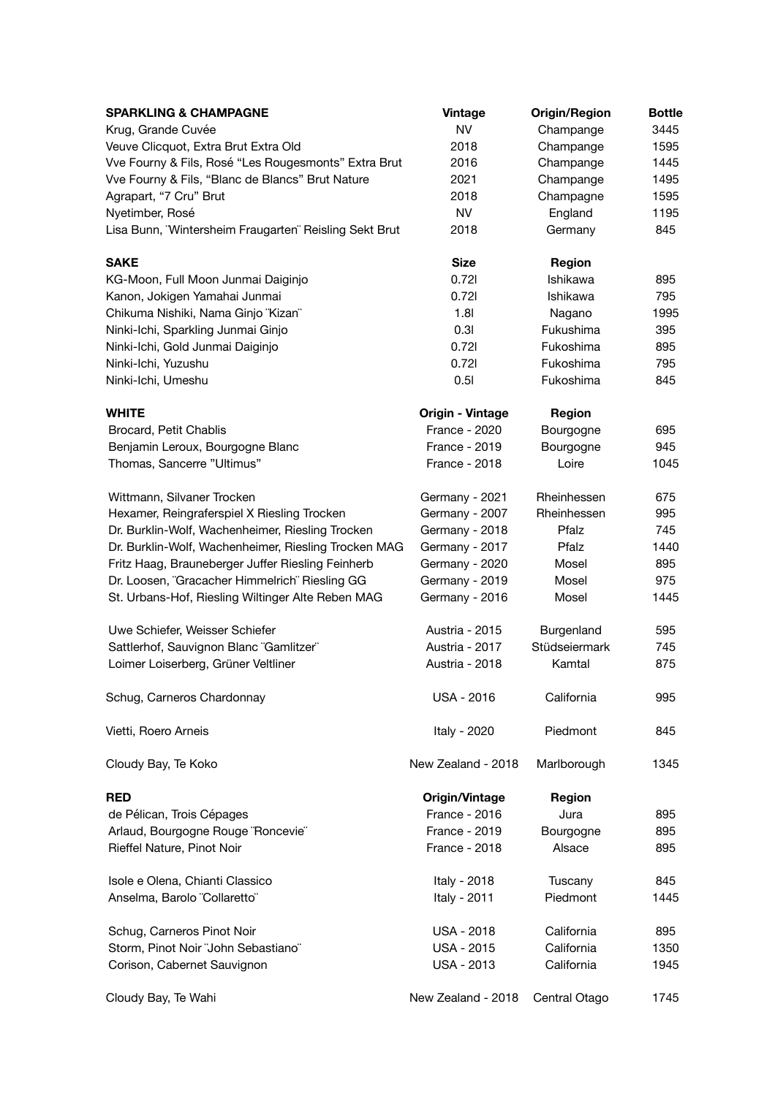| <b>SPARKLING &amp; CHAMPAGNE</b>                       | <b>Vintage</b>          | <b>Origin/Region</b> | <b>Bottle</b> |
|--------------------------------------------------------|-------------------------|----------------------|---------------|
| Krug, Grande Cuvée                                     | <b>NV</b>               | Champange            | 3445          |
| Veuve Clicquot, Extra Brut Extra Old                   | 2018                    | Champange            | 1595          |
| Vve Fourny & Fils, Rosé "Les Rougesmonts" Extra Brut   | 2016                    | Champange            | 1445          |
| Vve Fourny & Fils, "Blanc de Blancs" Brut Nature       | 2021                    | Champange            | 1495          |
| Agrapart, "7 Cru" Brut                                 | 2018                    | Champagne            | 1595          |
| Nyetimber, Rosé                                        | <b>NV</b>               | England              | 1195          |
| Lisa Bunn, 'Wintersheim Fraugarten' Reisling Sekt Brut | 2018                    | Germany              | 845           |
| <b>SAKE</b>                                            | <b>Size</b>             | <b>Region</b>        |               |
| KG-Moon, Full Moon Junmai Daiginjo                     | 0.721                   | <b>Ishikawa</b>      | 895           |
| Kanon, Jokigen Yamahai Junmai                          | 0.721                   | <b>Ishikawa</b>      | 795           |
| Chikuma Nishiki, Nama Ginjo "Kizan"                    | 1.8 <sub>l</sub>        | Nagano               | 1995          |
| Ninki-Ichi, Sparkling Junmai Ginjo                     | 0.31                    | Fukushima            | 395           |
| Ninki-Ichi, Gold Junmai Daiginjo                       | 0.721                   | Fukoshima            | 895           |
| Ninki-Ichi, Yuzushu                                    | 0.721                   | Fukoshima            | 795           |
| Ninki-Ichi, Umeshu                                     | 0.51                    | Fukoshima            | 845           |
| <b>WHITE</b>                                           | <b>Origin - Vintage</b> | <b>Region</b>        |               |
| Brocard, Petit Chablis                                 | <b>France - 2020</b>    | <b>Bourgogne</b>     | 695           |
| Benjamin Leroux, Bourgogne Blanc                       | <b>France - 2019</b>    | <b>Bourgogne</b>     | 945           |
| Thomas, Sancerre "Ultimus"                             | <b>France - 2018</b>    | Loire                | 1045          |
| Wittmann, Silvaner Trocken                             | Germany - 2021          | Rheinhessen          | 675           |
| Hexamer, Reingraferspiel X Riesling Trocken            | Germany - 2007          | Rheinhessen          | 995           |
| Dr. Burklin-Wolf, Wachenheimer, Riesling Trocken       | Germany - 2018          | Pfalz                | 745           |
| Dr. Burklin-Wolf, Wachenheimer, Riesling Trocken MAG   | Germany - 2017          | Pfalz                | 1440          |
| Fritz Haag, Brauneberger Juffer Riesling Feinherb      | Germany - 2020          | Mosel                | 895           |
| Dr. Loosen, "Gracacher Himmelrich" Riesling GG         | Germany - 2019          | Mosel                | 975           |
| St. Urbans-Hof, Riesling Wiltinger Alte Reben MAG      | Germany - 2016          | Mosel                | 1445          |
| Uwe Schiefer, Weisser Schiefer                         | <b>Austria - 2015</b>   | Burgenland           | 595           |
| Sattlerhof, Sauvignon Blanc "Gamlitzer"                | <b>Austria - 2017</b>   | <b>Stüdseiermark</b> | 745           |
| Loimer Loiserberg, Grüner Veltliner                    | <b>Austria - 2018</b>   | Kamtal               | 875           |
| Schug, Carneros Chardonnay                             | <b>USA - 2016</b>       | California           | 995           |
| Vietti, Roero Arneis                                   | Italy - 2020            | Piedmont             | 845           |
| Cloudy Bay, Te Koko                                    | New Zealand - 2018      | Marlborough          | 1345          |

| <b>RED</b>                          | Origin/Vintage       | <b>Region</b>        |      |
|-------------------------------------|----------------------|----------------------|------|
| de Pélican, Trois Cépages           | <b>France - 2016</b> | Jura                 | 895  |
| Arlaud, Bourgogne Rouge "Roncevie"  | <b>France - 2019</b> | <b>Bourgogne</b>     | 895  |
| <b>Rieffel Nature, Pinot Noir</b>   | <b>France - 2018</b> | Alsace               | 895  |
| Isole e Olena, Chianti Classico     | Italy - 2018         | Tuscany              | 845  |
| Anselma, Barolo "Collaretto"        | Italy - 2011         | Piedmont             | 1445 |
| Schug, Carneros Pinot Noir          | <b>USA - 2018</b>    | California           | 895  |
| Storm, Pinot Noir "John Sebastiano" | <b>USA - 2015</b>    | California           | 1350 |
| Corison, Cabernet Sauvignon         | <b>USA - 2013</b>    | California           | 1945 |
| Cloudy Bay, Te Wahi                 | New Zealand - 2018   | <b>Central Otago</b> | 1745 |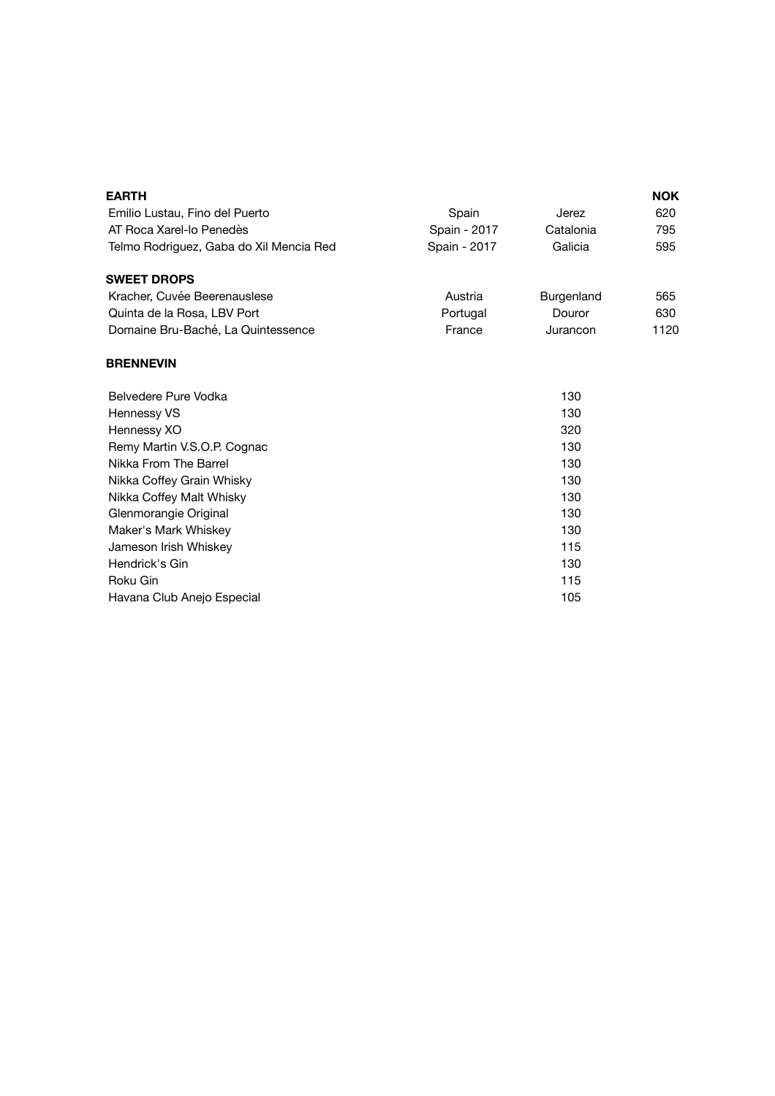| <b>EARTH</b>                            |              |                   | <b>NOK</b> |
|-----------------------------------------|--------------|-------------------|------------|
| Emilio Lustau, Fino del Puerto          | Spain        | <b>Jerez</b>      | 620        |
| AT Roca Xarel-lo Penedès                | Spain - 2017 | Catalonia         | 795        |
| Telmo Rodriguez, Gaba do Xil Mencia Red | Spain - 2017 | Galicia           | 595        |
| <b>SWEET DROPS</b>                      |              |                   |            |
| Kracher, Cuvée Beerenauslese            | Austria      | <b>Burgenland</b> | 565        |
| Quinta de la Rosa, LBV Port             | Portugal     | Douror            | 630        |
| Domaine Bru-Baché, La Quintessence      | France       | Jurancon          | 1120       |
| <b>BRENNEVIN</b>                        |              |                   |            |
| <b>Belvedere Pure Vodka</b>             |              | 130               |            |
| <b>Hennessy VS</b>                      |              | 130               |            |
| Hennessy XO                             | 320          |                   |            |
| Remy Martin V.S.O.P. Cognac             | 130          |                   |            |
| Nikka From The Barrel                   |              | 130               |            |
| Nikka Coffey Grain Whisky               |              | 130               |            |
| Nikka Coffey Malt Whisky                |              | 130               |            |
| Glenmorangie Original                   |              | 130               |            |
| Maker's Mark Whiskey                    |              | 130               |            |
| Jameson Irish Whiskey                   |              | 115               |            |
| Hendrick's Gin                          |              | 130               |            |
| <b>Roku Gin</b>                         |              | 115               |            |
| Havana Club Anejo Especial              |              | 105               |            |